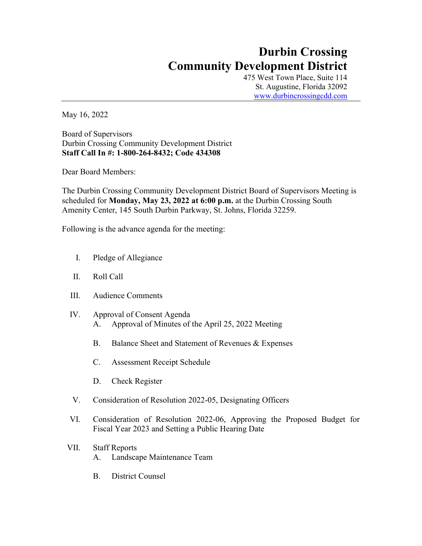## **Durbin Crossing Community Development District**

475 West Town Place, Suite 114 St. Augustine, Florida 32092 www.durbincrossingcdd.com

May 16, 2022

Board of Supervisors Durbin Crossing Community Development District **Staff Call In #: 1-800-264-8432; Code 434308**

Dear Board Members:

The Durbin Crossing Community Development District Board of Supervisors Meeting is scheduled for **Monday, May 23, 2022 at 6:00 p.m.** at the Durbin Crossing South Amenity Center, 145 South Durbin Parkway, St. Johns, Florida 32259.

Following is the advance agenda for the meeting:

- I. Pledge of Allegiance
- II. Roll Call
- III. Audience Comments
- IV. Approval of Consent Agenda A. Approval of Minutes of the April 25, 2022 Meeting
	- B. Balance Sheet and Statement of Revenues & Expenses
	- C. Assessment Receipt Schedule
	- D. Check Register
- V. Consideration of Resolution 2022-05, Designating Officers
- VI. Consideration of Resolution 2022-06, Approving the Proposed Budget for Fiscal Year 2023 and Setting a Public Hearing Date
- VII. Staff Reports A. Landscape Maintenance Team
	- B. District Counsel